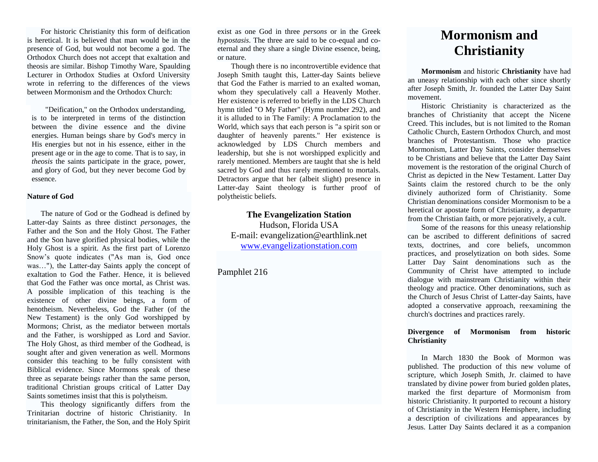For historic Christianity this form of deification is heretical. It is believed that man would be in the presence of God, but would not become a god. The Orthodox Church does not accept that exaltation and theosis are similar. Bishop Timothy Ware, Spaulding Lecturer in Orthodox Studies at Oxford University wrote in referring to the differences of the views between Mormonism and the Orthodox Church:

"Deification," on the Orthodox understanding, is to be interpreted in terms of the distinction between the divine essence and the divine energies. Human beings share by God's mercy in His energies but not in his essence, either in the present age or in the age to come. That is to say, in *theosis* the saints participate in the grace, power, and glory of God, but they never become God by essence.

#### **Nature of God**

The nature of God or the Godhead is defined by Latter-day Saints as three distinct *personages*, the Father and the Son and the Holy Ghost. The Father and the Son have glorified physical bodies, while the Holy Ghost is a spirit. As the first part of Lorenzo Snow's quote indicates ("As man is, God once was…"), the Latter-day Saints apply the concept of exaltation to God the Father. Hence, it is believed that God the Father was once mortal, as Christ was. A possible implication of this teaching is the existence of other divine beings, a form of henotheism. Nevertheless, God the Father (of the New Testament) is the only God worshipped by Mormons; Christ, as the mediator between mortals and the Father, is worshipped as Lord and Savior. The Holy Ghost, as third member of the Godhead, is sought after and given veneration as well. Mormons consider this teaching to be fully consistent with Biblical evidence. Since Mormons speak of these three as separate beings rather than the same person, traditional Christian groups critical of Latter Day Saints sometimes insist that this is polytheism.

This theology significantly differs from the Trinitarian doctrine of historic Christianity. In trinitarianism, the Father, the Son, and the Holy Spirit

exist as one God in three *persons* or in the Greek *hypostasis*. The three are said to be co-equal and coeternal and they share a single Divine essence, being, or nature.

Though there is no incontrovertible evidence that Joseph Smith taught this, Latter-day Saints believe that God the Father is married to an exalted woman, whom they speculatively call a Heavenly Mother. Her existence is referred to briefly in the LDS Church hymn titled "O My Father" (Hymn number 292), and it is alluded to in The Family: A Proclamation to the World, which says that each person is "a spirit son or daughter of heavenly parents." Her existence is acknowledged by LDS Church members and leadership, but she is not worshipped explicitly and rarely mentioned. Members are taught that she is held sacred by God and thus rarely mentioned to mortals. Detractors argue that her (albeit slight) presence in Latter-day Saint theology is further proof of polytheistic beliefs.

# **The Evangelization Station** Hudson, Florida USA E-mail: evangelization@earthlink.net [www.evangelizationstation.com](http://www.pjpiisoe.org/)

# Pamphlet 216

# **Mormonism and Christianity**

**Mormonism** and historic **Christianity** have had an uneasy relationship with each other since shortly after Joseph Smith, Jr. founded the Latter Day Saint movement.

Historic Christianity is characterized as the branches of Christianity that accept the Nicene Creed. This includes, but is not limited to the Roman Catholic Church, Eastern Orthodox Church, and most branches of Protestantism. Those who practice Mormonism, Latter Day Saints, consider themselves to be Christians and believe that the Latter Day Saint movement is the restoration of the original Church of Christ as depicted in the New Testament. Latter Day Saints claim the restored church to be the only divinely authorized form of Christianity. Some Christian denominations consider Mormonism to be a heretical or apostate form of Christianity, a departure from the Christian faith, or more pejoratively, a cult.

Some of the reasons for this uneasy relationship can be ascribed to different definitions of sacred texts, doctrines, and core beliefs, uncommon practices, and proselytization on both sides. Some Latter Day Saint denominations such as the Community of Christ have attempted to include dialogue with mainstream Christianity within their theology and practice. Other denominations, such as the Church of Jesus Christ of Latter-day Saints, have adopted a conservative approach, reexamining the church's doctrines and practices rarely.

## **Divergence of Mormonism from historic Christianity**

In March 1830 the Book of Mormon was published. The production of this new volume of scripture, which Joseph Smith, Jr. claimed to have translated by divine power from buried golden plates, marked the first departure of Mormonism from historic Christianity. It purported to recount a history of Christianity in the Western Hemisphere, including a description of civilizations and appearances by Jesus. Latter Day Saints declared it as a companion